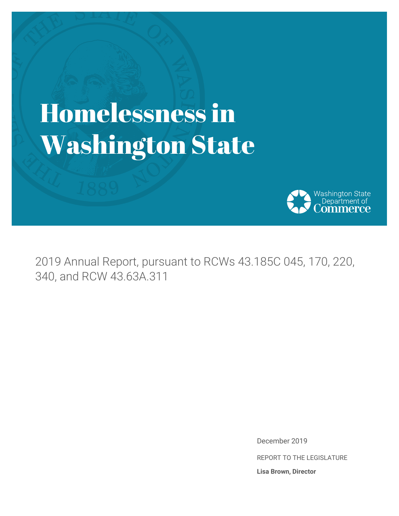# Homelessness in Washington State



2019 Annual Report, pursuant to RCWs 43.185C 045, 170, 220, 340, and RCW 43.63A.311

> December 2019 REPORT TO THE LEGISLATURE **Lisa Brown, Director**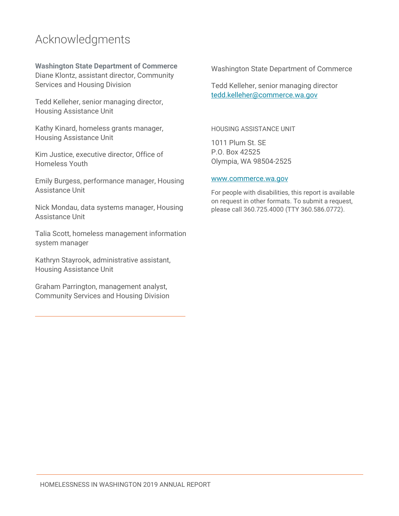### Acknowledgments

**Washington State Department of Commerce** Diane Klontz, assistant director, Community Services and Housing Division

Tedd Kelleher, senior managing director, Housing Assistance Unit

Kathy Kinard, homeless grants manager, Housing Assistance Unit

Kim Justice, executive director, Office of Homeless Youth

Emily Burgess, performance manager, Housing Assistance Unit

Nick Mondau, data systems manager, Housing Assistance Unit

Talia Scott, homeless management information system manager

Kathryn Stayrook, administrative assistant, Housing Assistance Unit

Graham Parrington, management analyst, Community Services and Housing Division Washington State Department of Commerce

Tedd Kelleher, senior managing director [tedd.kelleher@commerce.wa.gov](mailto:tedd.kelleher@commerce.wa.gov)

HOUSING ASSISTANCE UNIT

1011 Plum St. SE P.O. Box 42525 Olympia, WA 98504-2525

#### www.commerce.wa.gov

For people with disabilities, this report is available on request in other formats. To submit a request, please call 360.725.4000 (TTY 360.586.0772).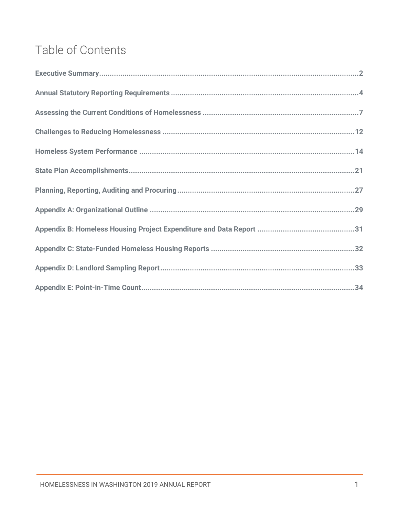# Table of Contents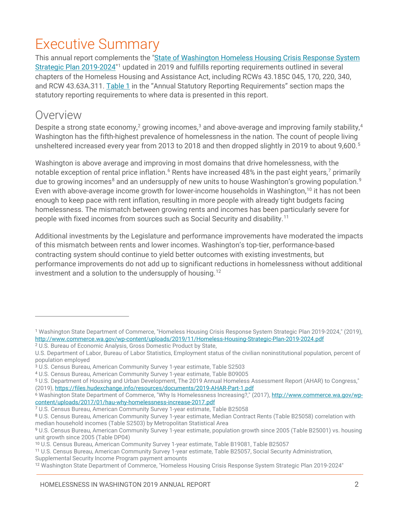# <span id="page-3-0"></span>Executive Summary

This annual report complements the "State of Washington Homeless Housing Crisis Response System [Strategic Plan 2019-2024"](http://www.commerce.wa.gov/wp-content/uploads/2019/11/Homeless-Housing-Strategic-Plan-2019-2024.pdf)[1](#page-3-1) updated in 2019 and fulfills reporting requirements outlined in several chapters of the Homeless Housing and Assistance Act, including RCWs 43.185C 045, 170, 220, 340, and RCW 43.63A.311. [Table 1](#page-5-1) in the ["Annual Statutory Reporting Requirements"](#page-4-0) section maps the statutory reporting requirements to where data is presented in this report.

### Overview

 $\overline{a}$ 

Despite a strong state economy,<sup>[2](#page-3-2)</sup> growing incomes,<sup>[3](#page-3-3)</sup> and above-average and improving family stability,<sup>[4](#page-3-4)</sup> Washington has the fifth-highest prevalence of homelessness in the nation. The count of people living unsheltered increased every year from 2013 to 2018 and then dropped slightly in 2019 to about 9,600.[5](#page-3-5)

Washington is above average and improving in most domains that drive homelessness, with the notable exception of rental price inflation.<sup>[6](#page-3-6)</sup> Rents have increased 48% in the past eight years,<sup>[7](#page-3-7)</sup> primarily due to growing incomes<sup>[8](#page-3-8)</sup> and an undersupply of new units to house Washington's growing population.<sup>[9](#page-3-9)</sup> Even with above-average income growth for lower-income households in Washington,<sup>[10](#page-3-10)</sup> it has not been enough to keep pace with rent inflation, resulting in more people with already tight budgets facing homelessness. The mismatch between growing rents and incomes has been particularly severe for people with fixed incomes from sources such as Social Security and disability[.11](#page-3-11)

Additional investments by the Legislature and performance improvements have moderated the impacts of this mismatch between rents and lower incomes. Washington's top-tier, performance-based contracting system should continue to yield better outcomes with existing investments, but performance improvements do not add up to significant reductions in homelessness without additional investment and a solution to the undersupply of housing.<sup>[12](#page-3-12)</sup>

<span id="page-3-1"></span><sup>1</sup> Washington State Department of Commerce, "Homeless Housing Crisis Response System Strategic Plan 2019-2024," (2019), http://www.commerce.wa.gov/wp-content/uploads/2019/11/Homeless-Housing-Strategic-Plan-2019-2024.pdf

<span id="page-3-2"></span><sup>2</sup> U.S. Bureau of Economic Analysis, Gross Domestic Product by State,

U.S. Department of Labor, Bureau of Labor Statistics, Employment status of the civilian noninstitutional population, percent of population employed

<span id="page-3-3"></span><sup>3</sup> U.S. Census Bureau, American Community Survey 1-year estimate, Table S2503

<span id="page-3-4"></span><sup>4</sup> U.S. Census Bureau, American Community Survey 1-year estimate, Table B09005

<span id="page-3-5"></span><sup>5</sup> U.S. Department of Housing and Urban Development, The 2019 Annual Homeless Assessment Report (AHAR) to Congress," (2019)[, https://files.hudexchange.info/resources/documents/2019-AHAR-Part-1.pdf](https://files.hudexchange.info/resources/documents/2019-AHAR-Part-1.pdf)

<span id="page-3-6"></span><sup>6</sup> Washington State Department of Commerce, "Why Is Homelessness Increasing?," (2017), [http://www.commerce.wa.gov/wp](http://www.commerce.wa.gov/wp-content/uploads/2017/01/hau-why-homelessness-increase-2017.pdf)[content/uploads/2017/01/hau-why-homelessness-increase-2017.pdf](http://www.commerce.wa.gov/wp-content/uploads/2017/01/hau-why-homelessness-increase-2017.pdf)

<span id="page-3-7"></span><sup>7</sup> U.S. Census Bureau, American Community Survey 1-year estimate, Table B25058

<span id="page-3-8"></span><sup>8</sup> U.S. Census Bureau, American Community Survey 1-year estimate, Median Contract Rents (Table B25058) correlation with median household incomes (Table S2503) by Metropolitan Statistical Area

<span id="page-3-9"></span><sup>&</sup>lt;sup>9</sup> U.S. Census Bureau, American Community Survey 1-year estimate, population growth since 2005 (Table B25001) vs. housing unit growth since 2005 (Table DP04)

<span id="page-3-10"></span><sup>&</sup>lt;sup>10</sup> U.S. Census Bureau, American Community Survey 1-year estimate, Table B19081, Table B25057

<span id="page-3-11"></span><sup>11</sup> U.S. Census Bureau, American Community Survey 1-year estimate, Table B25057, Social Security Administration,

Supplemental Security Income Program payment amounts

<span id="page-3-12"></span><sup>12</sup> Washington State Department of Commerce, "Homeless Housing Crisis Response System Strategic Plan 2019-2024"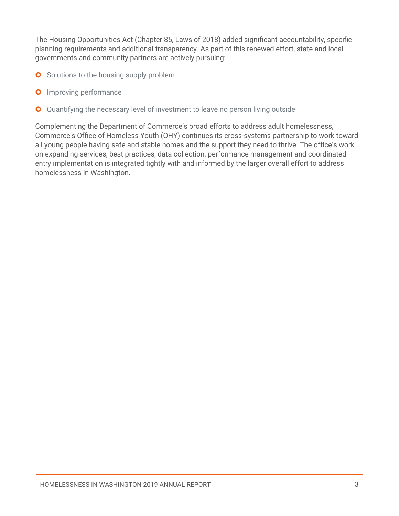The Housing Opportunities Act (Chapter 85, Laws of 2018) added significant accountability, specific planning requirements and additional transparency. As part of this renewed effort, state and local governments and community partners are actively pursuing:

- **O** Solutions to the housing supply problem
- **O** Improving performance
- Quantifying the necessary level of investment to leave no person living outside  $\bullet$

<span id="page-4-0"></span>Complementing the Department of Commerce's broad efforts to address adult homelessness, Commerce's Office of Homeless Youth (OHY) continues its cross-systems partnership to work toward all young people having safe and stable homes and the support they need to thrive. The office's work on expanding services, best practices, data collection, performance management and coordinated entry implementation is integrated tightly with and informed by the larger overall effort to address homelessness in Washington.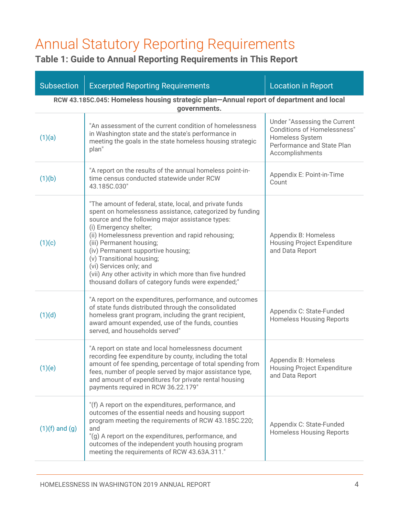# <span id="page-5-0"></span>Annual Statutory Reporting Requirements

### <span id="page-5-1"></span>**Table 1: Guide to Annual Reporting Requirements in This Report**

| <b>Subsection</b>                                                                                      | <b>Excerpted Reporting Requirements</b>                                                                                                                                                                                                                                                                                                                                                                                                                                                            | <b>Location in Report</b>                                                                                                              |  |  |
|--------------------------------------------------------------------------------------------------------|----------------------------------------------------------------------------------------------------------------------------------------------------------------------------------------------------------------------------------------------------------------------------------------------------------------------------------------------------------------------------------------------------------------------------------------------------------------------------------------------------|----------------------------------------------------------------------------------------------------------------------------------------|--|--|
| RCW 43.185C.045: Homeless housing strategic plan-Annual report of department and local<br>governments. |                                                                                                                                                                                                                                                                                                                                                                                                                                                                                                    |                                                                                                                                        |  |  |
| (1)(a)                                                                                                 | "An assessment of the current condition of homelessness<br>in Washington state and the state's performance in<br>meeting the goals in the state homeless housing strategic<br>plan"                                                                                                                                                                                                                                                                                                                | Under "Assessing the Current<br><b>Conditions of Homelessness"</b><br>Homeless System<br>Performance and State Plan<br>Accomplishments |  |  |
| (1)(b)                                                                                                 | "A report on the results of the annual homeless point-in-<br>time census conducted statewide under RCW<br>43.185C.030"                                                                                                                                                                                                                                                                                                                                                                             | Appendix E: Point-in-Time<br>Count                                                                                                     |  |  |
| (1)(c)                                                                                                 | "The amount of federal, state, local, and private funds<br>spent on homelessness assistance, categorized by funding<br>source and the following major assistance types:<br>(i) Emergency shelter;<br>(ii) Homelessness prevention and rapid rehousing;<br>(iii) Permanent housing;<br>(iv) Permanent supportive housing;<br>(v) Transitional housing;<br>(vi) Services only; and<br>(vii) Any other activity in which more than five hundred<br>thousand dollars of category funds were expended;" | Appendix B: Homeless<br><b>Housing Project Expenditure</b><br>and Data Report                                                          |  |  |
| (1)(d)                                                                                                 | "A report on the expenditures, performance, and outcomes<br>of state funds distributed through the consolidated<br>homeless grant program, including the grant recipient,<br>award amount expended, use of the funds, counties<br>served, and households served"                                                                                                                                                                                                                                   | Appendix C: State-Funded<br><b>Homeless Housing Reports</b>                                                                            |  |  |
| (1)(e)                                                                                                 | "A report on state and local homelessness document<br>recording fee expenditure by county, including the total<br>amount of fee spending, percentage of total spending from<br>fees, number of people served by major assistance type,<br>and amount of expenditures for private rental housing<br>payments required in RCW 36.22.179"                                                                                                                                                             | Appendix B: Homeless<br><b>Housing Project Expenditure</b><br>and Data Report                                                          |  |  |
| $(1)(f)$ and $(g)$                                                                                     | "(f) A report on the expenditures, performance, and<br>outcomes of the essential needs and housing support<br>program meeting the requirements of RCW 43.185C.220;<br>and<br>"(g) A report on the expenditures, performance, and<br>outcomes of the independent youth housing program<br>meeting the requirements of RCW 43.63A.311."                                                                                                                                                              | Appendix C: State-Funded<br><b>Homeless Housing Reports</b>                                                                            |  |  |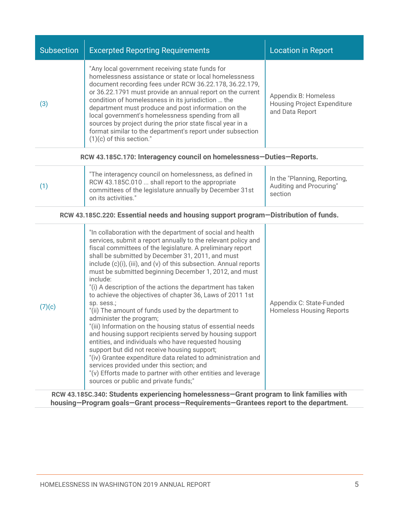| <b>Subsection</b>                                                                                                                                                                                                                                                                                                                                                                                                                                                                                                                                                                                                                                                                                                                                                                                                                                                                                                                                                                                                                                                                                                                                       | <b>Excerpted Reporting Requirements</b>                                                                                                                                                                                                                                                                                                                                                                                                                                                                                                                        | <b>Location in Report</b>                                                     |  |  |
|---------------------------------------------------------------------------------------------------------------------------------------------------------------------------------------------------------------------------------------------------------------------------------------------------------------------------------------------------------------------------------------------------------------------------------------------------------------------------------------------------------------------------------------------------------------------------------------------------------------------------------------------------------------------------------------------------------------------------------------------------------------------------------------------------------------------------------------------------------------------------------------------------------------------------------------------------------------------------------------------------------------------------------------------------------------------------------------------------------------------------------------------------------|----------------------------------------------------------------------------------------------------------------------------------------------------------------------------------------------------------------------------------------------------------------------------------------------------------------------------------------------------------------------------------------------------------------------------------------------------------------------------------------------------------------------------------------------------------------|-------------------------------------------------------------------------------|--|--|
| (3)                                                                                                                                                                                                                                                                                                                                                                                                                                                                                                                                                                                                                                                                                                                                                                                                                                                                                                                                                                                                                                                                                                                                                     | "Any local government receiving state funds for<br>homelessness assistance or state or local homelessness<br>document recording fees under RCW 36.22.178, 36.22.179,<br>or 36.22.1791 must provide an annual report on the current<br>condition of homelessness in its jurisdiction  the<br>department must produce and post information on the<br>local government's homelessness spending from all<br>sources by project during the prior state fiscal year in a<br>format similar to the department's report under subsection<br>$(1)(c)$ of this section." | Appendix B: Homeless<br><b>Housing Project Expenditure</b><br>and Data Report |  |  |
|                                                                                                                                                                                                                                                                                                                                                                                                                                                                                                                                                                                                                                                                                                                                                                                                                                                                                                                                                                                                                                                                                                                                                         | RCW 43.185C.170: Interagency council on homelessness-Duties-Reports.                                                                                                                                                                                                                                                                                                                                                                                                                                                                                           |                                                                               |  |  |
| (1)                                                                                                                                                                                                                                                                                                                                                                                                                                                                                                                                                                                                                                                                                                                                                                                                                                                                                                                                                                                                                                                                                                                                                     | "The interagency council on homelessness, as defined in<br>RCW 43.185C.010  shall report to the appropriate<br>committees of the legislature annually by December 31st<br>on its activities."                                                                                                                                                                                                                                                                                                                                                                  | In the "Planning, Reporting,<br>Auditing and Procuring"<br>section            |  |  |
|                                                                                                                                                                                                                                                                                                                                                                                                                                                                                                                                                                                                                                                                                                                                                                                                                                                                                                                                                                                                                                                                                                                                                         | RCW 43.185C.220: Essential needs and housing support program-Distribution of funds.                                                                                                                                                                                                                                                                                                                                                                                                                                                                            |                                                                               |  |  |
| "In collaboration with the department of social and health<br>services, submit a report annually to the relevant policy and<br>fiscal committees of the legislature. A preliminary report<br>shall be submitted by December 31, 2011, and must<br>include (c)(i), (iii), and (v) of this subsection. Annual reports<br>must be submitted beginning December 1, 2012, and must<br>include:<br>"(i) A description of the actions the department has taken<br>to achieve the objectives of chapter 36, Laws of 2011 1st<br>Appendix C: State-Funded<br>sp. sess.;<br>(7)(c)<br>"(ii) The amount of funds used by the department to<br><b>Homeless Housing Reports</b><br>administer the program;<br>"(iii) Information on the housing status of essential needs<br>and housing support recipients served by housing support<br>entities, and individuals who have requested housing<br>support but did not receive housing support;<br>"(iv) Grantee expenditure data related to administration and<br>services provided under this section; and<br>"(v) Efforts made to partner with other entities and leverage<br>sources or public and private funds;" |                                                                                                                                                                                                                                                                                                                                                                                                                                                                                                                                                                |                                                                               |  |  |
|                                                                                                                                                                                                                                                                                                                                                                                                                                                                                                                                                                                                                                                                                                                                                                                                                                                                                                                                                                                                                                                                                                                                                         | RCW 43.185C.340: Students experiencing homelessness-Grant program to link families with                                                                                                                                                                                                                                                                                                                                                                                                                                                                        |                                                                               |  |  |

**housing—Program goals—Grant process—Requirements—Grantees report to the department.**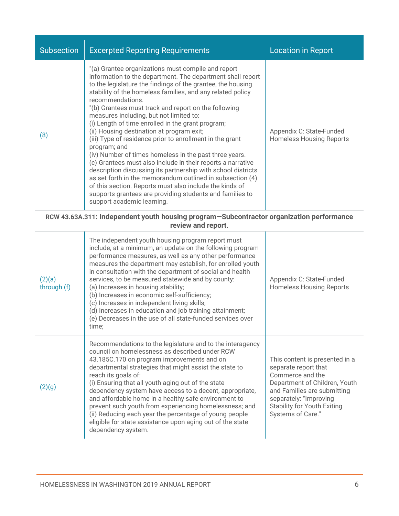| <b>Subsection</b> | <b>Excerpted Reporting Requirements</b>                                                                                                                                                                                                                                                                                                                                                                                                                                                                                                                                                                                                                                                                                                                                                                                                                                                                                                                       | <b>Location in Report</b>                                   |
|-------------------|---------------------------------------------------------------------------------------------------------------------------------------------------------------------------------------------------------------------------------------------------------------------------------------------------------------------------------------------------------------------------------------------------------------------------------------------------------------------------------------------------------------------------------------------------------------------------------------------------------------------------------------------------------------------------------------------------------------------------------------------------------------------------------------------------------------------------------------------------------------------------------------------------------------------------------------------------------------|-------------------------------------------------------------|
| (8)               | "(a) Grantee organizations must compile and report<br>information to the department. The department shall report<br>to the legislature the findings of the grantee, the housing<br>stability of the homeless families, and any related policy<br>recommendations.<br>"(b) Grantees must track and report on the following<br>measures including, but not limited to:<br>(i) Length of time enrolled in the grant program;<br>(ii) Housing destination at program exit;<br>(iii) Type of residence prior to enrollment in the grant<br>program; and<br>(iv) Number of times homeless in the past three years.<br>(c) Grantees must also include in their reports a narrative<br>description discussing its partnership with school districts<br>as set forth in the memorandum outlined in subsection (4)<br>of this section. Reports must also include the kinds of<br>supports grantees are providing students and families to<br>support academic learning. | Appendix C: State-Funded<br><b>Homeless Housing Reports</b> |

#### **RCW [43.63A.311:](http://app.leg.wa.gov/RCW/default.aspx?cite=43.63A.311) Independent youth housing program—Subcontractor organization performance review and report.**

| (2)(a)<br>through (f) | The independent youth housing program report must<br>include, at a minimum, an update on the following program<br>performance measures, as well as any other performance<br>measures the department may establish, for enrolled youth<br>in consultation with the department of social and health<br>services, to be measured statewide and by county:<br>(a) Increases in housing stability;<br>(b) Increases in economic self-sufficiency;<br>(c) Increases in independent living skills;<br>(d) Increases in education and job training attainment;<br>(e) Decreases in the use of all state-funded services over<br>time; | Appendix C: State-Funded<br><b>Homeless Housing Reports</b>                                                                                                                                                                     |
|-----------------------|-------------------------------------------------------------------------------------------------------------------------------------------------------------------------------------------------------------------------------------------------------------------------------------------------------------------------------------------------------------------------------------------------------------------------------------------------------------------------------------------------------------------------------------------------------------------------------------------------------------------------------|---------------------------------------------------------------------------------------------------------------------------------------------------------------------------------------------------------------------------------|
| (2)(g)                | Recommendations to the legislature and to the interagency<br>council on homelessness as described under RCW<br>43.185C.170 on program improvements and on<br>departmental strategies that might assist the state to<br>reach its goals of:<br>(i) Ensuring that all youth aging out of the state<br>dependency system have access to a decent, appropriate,<br>and affordable home in a healthy safe environment to<br>prevent such youth from experiencing homelessness; and<br>(ii) Reducing each year the percentage of young people<br>eligible for state assistance upon aging out of the state<br>dependency system.    | This content is presented in a<br>separate report that<br>Commerce and the<br>Department of Children, Youth<br>and Families are submitting<br>separately: "Improving<br><b>Stability for Youth Exiting</b><br>Systems of Care." |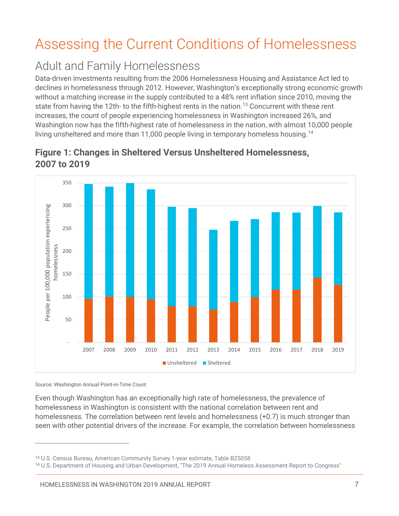# <span id="page-8-0"></span>Assessing the Current Conditions of Homelessness

# Adult and Family Homelessness

Data-driven investments resulting from the 2006 Homelessness Housing and Assistance Act led to declines in homelessness through 2012. However, Washington's exceptionally strong economic growth without a matching increase in the supply contributed to a 48% rent inflation since 2010, moving the state from having the 12th- to the fifth-highest rents in the nation.<sup>13</sup> Concurrent with these rent increases, the count of people experiencing homelessness in Washington increased 26%, and Washington now has the fifth-highest rate of homelessness in the nation, with almost 10,000 people living unsheltered and more than 11,000 people living in temporary homeless housing.<sup>[14](#page-8-2)</sup>



### **Figure 1: Changes in Sheltered Versus Unsheltered Homelessness, 2007 to 2019**

Source: Washington Annual Point-in-Time Count

 $\overline{a}$ 

Even though Washington has an exceptionally high rate of homelessness, the prevalence of homelessness in Washington is consistent with the national correlation between rent and homelessness. The correlation between rent levels and homelessness (+0.7) is much stronger than seen with other potential drivers of the increase. For example, the correlation between homelessness

<span id="page-8-1"></span><sup>13</sup> U.S. Census Bureau, American Community Survey 1-year estimate, Table B25058

<span id="page-8-2"></span><sup>14</sup> U.S. Department of Housing and Urban Development, "The 2019 Annual Homeless Assessment Report to Congress"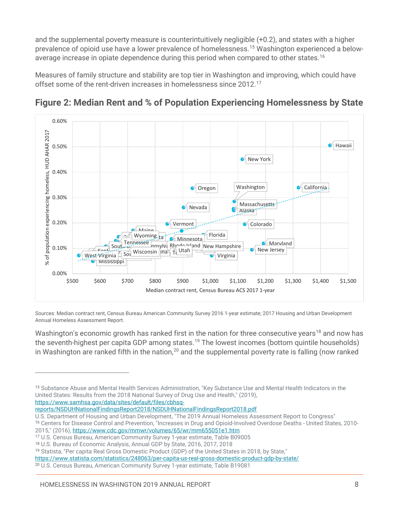and the supplemental poverty measure is counterintuitively negligible (+0.2), and states with a higher prevalence of opioid use have a lower prevalence of homelessness. [15](#page-9-0) Washington experienced a below-average increase in opiate dependence during this period when compared to other states.<sup>[16](#page-9-1)</sup>

Measures of family structure and stability are top tier in Washington and improving, which could have offset some of the rent-driven increases in homelessness since 2012.<sup>[17](#page-9-2)</sup>



**Figure 2: Median Rent and % of Population Experiencing Homelessness by State**

Sources: Median contract rent, Census Bureau American Community Survey 2016 1-year estimate; 2017 Housing and Urban Development Annual Homeless Assessment Report.

Washington's economic growth has ranked first in the nation for three consecutive years<sup>[18](#page-9-3)</sup> and now has the seventh-highest per capita GDP among states.<sup>[19](#page-9-4)</sup> The lowest incomes (bottom quintile households) in Washington are ranked fifth in the nation,<sup>[20](#page-9-5)</sup> and the supplemental poverty rate is falling (now ranked

[reports/NSDUHNationalFindingsReport2018/NSDUHNationalFindingsReport2018.pdf](https://www.samhsa.gov/data/sites/default/files/cbhsq-reports/NSDUHNationalFindingsReport2018/NSDUHNationalFindingsReport2018.pdf)

U.S. Department of Housing and Urban Development, "The 2019 Annual Homeless Assessment Report to Congress"

<span id="page-9-0"></span><sup>15</sup> Substance Abuse and Mental Health Services Administration, "Key Substance Use and Mental Health Indicators in the United States: Results from the 2018 National Survey of Drug Use and Health," (2019), [https://www.samhsa.gov/data/sites/default/files/cbhsq-](https://www.samhsa.gov/data/sites/default/files/cbhsq-reports/NSDUHNationalFindingsReport2018/NSDUHNationalFindingsReport2018.pdf)

<span id="page-9-1"></span><sup>16</sup> Centers for Disease Control and Prevention, "Increases in Drug and Opioid-Involved Overdose Deaths - United States, 2010- 2015," (2016)[, https://www.cdc.gov/mmwr/volumes/65/wr/mm655051e1.htm](https://www.cdc.gov/mmwr/volumes/65/wr/mm655051e1.htm)

<span id="page-9-2"></span><sup>17</sup> U.S. Census Bureau, American Community Survey 1-year estimate, Table B09005

<span id="page-9-3"></span><sup>18</sup> U.S. Bureau of Economic Analysis, Annual GDP by State, 2016, 2017, 2018

<span id="page-9-4"></span><sup>19</sup> Statista, "Per capita Real Gross Domestic Product (GDP) of the United States in 2018, by State,"

<https://www.statista.com/statistics/248063/per-capita-us-real-gross-domestic-product-gdp-by-state/>

<span id="page-9-5"></span><sup>20</sup> U.S. Census Bureau, American Community Survey 1-year estimate, Table B19081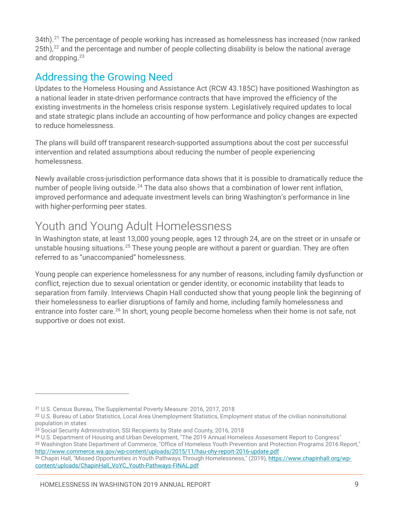34th).<sup>[21](#page-10-0)</sup> The percentage of people working has increased as homelessness has increased (now ranked 25th), $^{22}$  $^{22}$  $^{22}$  and the percentage and number of people collecting disability is below the national average and dropping. [23](#page-10-2)

### Addressing the Growing Need

Updates to the Homeless Housing and Assistance Act (RCW 43.185C) have positioned Washington as a national leader in state-driven performance contracts that have improved the efficiency of the existing investments in the homeless crisis response system. Legislatively required updates to local and state strategic plans include an accounting of how performance and policy changes are expected to reduce homelessness.

The plans will build off transparent research-supported assumptions about the cost per successful intervention and related assumptions about reducing the number of people experiencing homelessness.

Newly available cross-jurisdiction performance data shows that it is possible to dramatically reduce the number of people living outside.<sup>[24](#page-10-3)</sup> The data also shows that a combination of lower rent inflation, improved performance and adequate investment levels can bring Washington's performance in line with higher-performing peer states.

# Youth and Young Adult Homelessness

In Washington state, at least 13,000 young people, ages 12 through 24, are on the street or in unsafe or unstable housing situations.<sup>[25](#page-10-4)</sup> These young people are without a parent or guardian. They are often referred to as "unaccompanied" homelessness.

Young people can experience homelessness for any number of reasons, including family dysfunction or conflict, rejection due to sexual orientation or gender identity, or economic instability that leads to separation from family. Interviews Chapin Hall conducted show that young people link the beginning of their homelessness to earlier disruptions of family and home, including family homelessness and entrance into foster care.<sup>[26](#page-10-5)</sup> In short, young people become homeless when their home is not safe, not supportive or does not exist.

<span id="page-10-0"></span><sup>21</sup> U.S. Census Bureau, The Supplemental Poverty Measure: 2016, 2017, 2018

<span id="page-10-1"></span><sup>22</sup> U.S. Bureau of Labor Statistics, Local Area Unemployment Statistics, Employment status of the civilian noninsitutional population in states

<span id="page-10-2"></span><sup>&</sup>lt;sup>23</sup> Social Security Administration, SSI Recipients by State and County, 2016, 2018

<span id="page-10-3"></span><sup>&</sup>lt;sup>24</sup> U.S. Department of Housing and Urban Development, "The 2019 Annual Homeless Assessment Report to Congress"

<span id="page-10-4"></span><sup>25</sup> Washington State Department of Commerce, "Office of Homeless Youth Prevention and Protection Programs 2016 Report," http://www.commerce.wa.gov/wp-content/uploads/2015/11/hau-ohy-report-2016-update.pdf

<span id="page-10-5"></span><sup>&</sup>lt;sup>26</sup> Chapin Hall, "Missed Opportunities in Youth Pathways Through Homelessness," (2019), [https://www.chapinhall.org/wp](https://www.chapinhall.org/wp-content/uploads/ChapinHall_VoYC_Youth-Pathways-FINAL.pdf)[content/uploads/ChapinHall\\_VoYC\\_Youth-Pathways-FINAL.pdf](https://www.chapinhall.org/wp-content/uploads/ChapinHall_VoYC_Youth-Pathways-FINAL.pdf)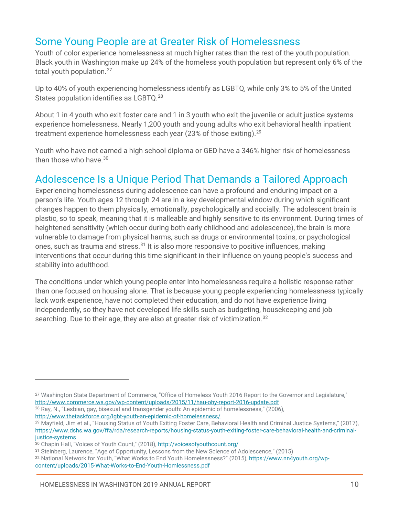### Some Young People are at Greater Risk of Homelessness

Youth of color experience homelessness at much higher rates than the rest of the youth population. Black youth in Washington make up 24% of the homeless youth population but represent only 6% of the total youth population.<sup>[27](#page-11-0)</sup>

Up to 40% of youth experiencing homelessness identify as LGBTQ, while only 3% to 5% of the United States population identifies as LGBTQ.<sup>[28](#page-11-1)</sup>

About 1 in 4 youth who exit foster care and 1 in 3 youth who exit the juvenile or adult justice systems experience homelessness. Nearly 1,200 youth and young adults who exit behavioral health inpatient treatment experience homelessness each year (23% of those exiting).<sup>29</sup>

Youth who have not earned a high school diploma or GED have a 346% higher risk of homelessness than those who have. [30](#page-11-3)

### Adolescence Is a Unique Period That Demands a Tailored Approach

Experiencing homelessness during adolescence can have a profound and enduring impact on a person's life. Youth ages 12 through 24 are in a key developmental window during which significant changes happen to them physically, emotionally, psychologically and socially. The adolescent brain is plastic, so to speak, meaning that it is malleable and highly sensitive to its environment. During times of heightened sensitivity (which occur during both early childhood and adolescence), the brain is more vulnerable to damage from physical harms, such as drugs or environmental toxins, or psychological ones, such as trauma and stress.[31](#page-11-4) It is also more responsive to positive influences, making interventions that occur during this time significant in their influence on young people's success and stability into adulthood.

The conditions under which young people enter into homelessness require a holistic response rather than one focused on housing alone. That is because young people experiencing homelessness typically lack work experience, have not completed their education, and do not have experience living independently, so they have not developed life skills such as budgeting, housekeeping and job searching. Due to their age, they are also at greater risk of victimization.<sup>[32](#page-11-5)</sup>

<span id="page-11-0"></span><sup>27</sup> Washington State Department of Commerce, "Office of Homeless Youth 2016 Report to the Governor and Legislature," <http://www.commerce.wa.gov/wp-content/uploads/2015/11/hau-ohy-report-2016-update.pdf>

<span id="page-11-1"></span><sup>28</sup> Ray, N., "Lesbian, gay, bisexual and transgender youth: An epidemic of homelessness," (2006), <http://www.thetaskforce.org/lgbt-youth-an-epidemic-of-homelessness/>

<span id="page-11-2"></span><sup>&</sup>lt;sup>29</sup> Mayfield, Jim et al., "Housing Status of Youth Exiting Foster Care, Behavioral Health and Criminal Justice Systems," (2017), [https://www.dshs.wa.gov/ffa/rda/research-reports/housing-status-youth-exiting-foster-care-behavioral-health-and-criminal](https://www.dshs.wa.gov/ffa/rda/research-reports/housing-status-youth-exiting-foster-care-behavioral-health-and-criminal-justice-systems)iustice-systems

<span id="page-11-3"></span><sup>30</sup> Chapin Hall, "Voices of Youth Count," (2018)[, http://voicesofyouthcount.org/](http://voicesofyouthcount.org/)

<span id="page-11-4"></span><sup>31</sup> Steinberg, Laurence, "Age of Opportunity, Lessons from the New Science of Adolescence," (2015)

<span id="page-11-5"></span><sup>32</sup> National Network for Youth, "What Works to End Youth Homelessness?" (2015)[, https://www.nn4youth.org/wp](https://www.nn4youth.org/wp-content/uploads/2015-What-Works-to-End-Youth-Homlessness.pdf)[content/uploads/2015-What-Works-to-End-Youth-Homlessness.pdf](https://www.nn4youth.org/wp-content/uploads/2015-What-Works-to-End-Youth-Homlessness.pdf)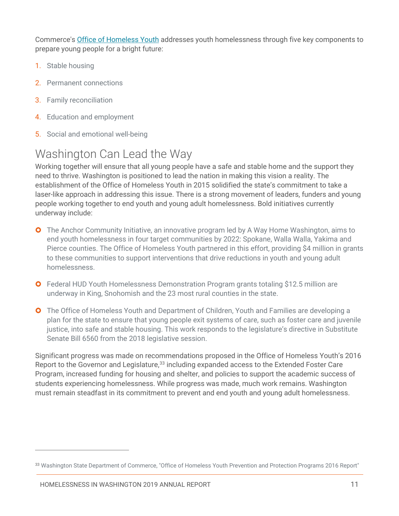Commerce's [Office of Homeless Youth](https://www.commerce.wa.gov/serving-communities/homelessness/office-of-youth-homelessness/) addresses youth homelessness through five key components to prepare young people for a bright future:

- 1. Stable housing
- 2. Permanent connections
- 3. Family reconciliation
- 4. Education and employment
- 5. Social and emotional well-being

# Washington Can Lead the Way

Working together will ensure that all young people have a safe and stable home and the support they need to thrive. Washington is positioned to lead the nation in making this vision a reality. The establishment of the Office of Homeless Youth in 2015 solidified the state's commitment to take a laser-like approach in addressing this issue. There is a strong movement of leaders, funders and young people working together to end youth and young adult homelessness. Bold initiatives currently underway include:

- **O** The Anchor Community Initiative, an innovative program led by A Way Home Washington, aims to end youth homelessness in four target communities by 2022: Spokane, Walla Walla, Yakima and Pierce counties. The Office of Homeless Youth partnered in this effort, providing \$4 million in grants to these communities to support interventions that drive reductions in youth and young adult homelessness.
- **O** Federal HUD Youth Homelessness Demonstration Program grants totaling \$12.5 million are underway in King, Snohomish and the 23 most rural counties in the state.
- **O** The Office of Homeless Youth and Department of Children, Youth and Families are developing a plan for the state to ensure that young people exit systems of care, such as foster care and juvenile justice, into safe and stable housing. This work responds to the legislature's directive in Substitute Senate Bill 6560 from the 2018 legislative session.

Significant progress was made on recommendations proposed in the Office of Homeless Youth's 2016 Report to the Governor and Legislature,<sup>[33](#page-12-0)</sup> including expanded access to the Extended Foster Care Program, increased funding for housing and shelter, and policies to support the academic success of students experiencing homelessness. While progress was made, much work remains. Washington must remain steadfast in its commitment to prevent and end youth and young adult homelessness.

<span id="page-12-0"></span><sup>33</sup> Washington State Department of Commerce, "Office of Homeless Youth Prevention and Protection Programs 2016 Report"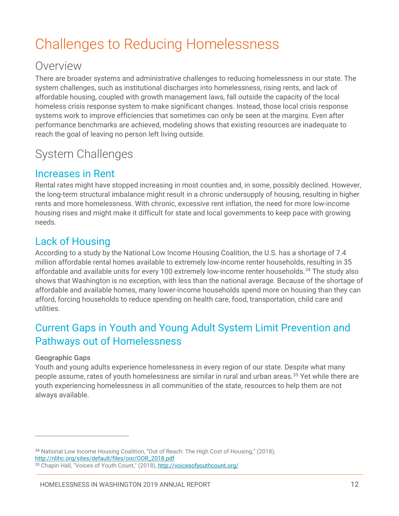# <span id="page-13-0"></span>Challenges to Reducing Homelessness

### Overview

There are broader systems and administrative challenges to reducing homelessness in our state. The system challenges, such as institutional discharges into homelessness, rising rents, and lack of affordable housing, coupled with growth management laws, fall outside the capacity of the local homeless crisis response system to make significant changes. Instead, those local crisis response systems work to improve efficiencies that sometimes can only be seen at the margins. Even after performance benchmarks are achieved, modeling shows that existing resources are inadequate to reach the goal of leaving no person left living outside.

### System Challenges

### Increases in Rent

Rental rates might have stopped increasing in most counties and, in some, possibly declined. However, the long-term structural imbalance might result in a chronic undersupply of housing, resulting in higher rents and more homelessness. With chronic, excessive rent inflation, the need for more low-income housing rises and might make it difficult for state and local governments to keep pace with growing needs.

### Lack of Housing

According to a study by the National Low Income Housing Coalition, the U.S. has a shortage of 7.4 million affordable rental homes available to extremely low-income renter households, resulting in 35 affordable and available units for every 100 extremely low-income renter households.<sup>[34](#page-13-1)</sup> The study also shows that Washington is no exception, with less than the national average. Because of the shortage of affordable and available homes, many lower-income households spend more on housing than they can afford, forcing households to reduce spending on health care, food, transportation, child care and utilities.

### Current Gaps in Youth and Young Adult System Limit Prevention and Pathways out of Homelessness

#### **Geographic Gaps**

 $\overline{a}$ 

Youth and young adults experience homelessness in every region of our state. Despite what many people assume, rates of youth homelessness are similar in rural and urban areas.<sup>[35](#page-13-2)</sup> Yet while there are youth experiencing homelessness in all communities of the state, resources to help them are not always available.

<span id="page-13-1"></span><sup>34</sup> National Low Income Housing Coalition, "Out of Reach: The High Cost of Housing," (2018), http://nlihc.org/sites/default/files/oor/OOR\_2018.pdf

<span id="page-13-2"></span><sup>35</sup> Chapin Hall, "Voices of Youth Count," (2018)[, http://voicesofyouthcount.org/](http://voicesofyouthcount.org/)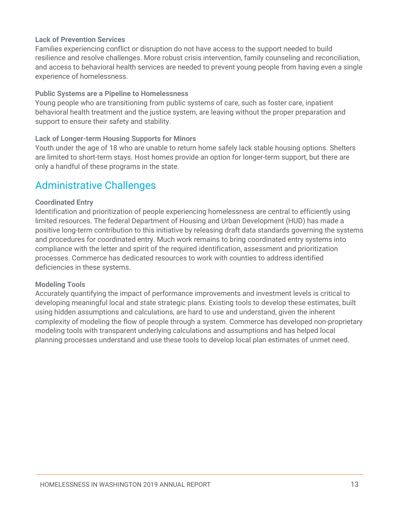#### **Lack of Prevention Services**

Families experiencing conflict or disruption do not have access to the support needed to build resilience and resolve challenges. More robust crisis intervention, family counseling and reconciliation, and access to behavioral health services are needed to prevent young people from having even a single experience of homelessness.

#### **Public Systems are a Pipeline to Homelessness**

Young people who are transitioning from public systems of care, such as foster care, inpatient behavioral health treatment and the justice system, are leaving without the proper preparation and support to ensure their safety and stability.

#### **Lack of Longer-term Housing Supports for Minors**

Youth under the age of 18 who are unable to return home safely lack stable housing options. Shelters are limited to short-term stays. Host homes provide an option for longer-term support, but there are only a handful of these programs in the state.

### Administrative Challenges

#### **Coordinated Entry**

Identification and prioritization of people experiencing homelessness are central to efficiently using limited resources. The federal Department of Housing and Urban Development (HUD) has made a positive long-term contribution to this initiative by releasing draft data standards governing the systems and procedures for coordinated entry. Much work remains to bring coordinated entry systems into compliance with the letter and spirit of the required identification, assessment and prioritization processes. Commerce has dedicated resources to work with counties to address identified deficiencies in these systems.

#### **Modeling Tools**

Accurately quantifying the impact of performance improvements and investment levels is critical to developing meaningful local and state strategic plans. Existing tools to develop these estimates, built using hidden assumptions and calculations, are hard to use and understand, given the inherent complexity of modeling the flow of people through a system. Commerce has developed non-proprietary modeling tools with transparent underlying calculations and assumptions and has helped local planning processes understand and use these tools to develop local plan estimates of unmet need.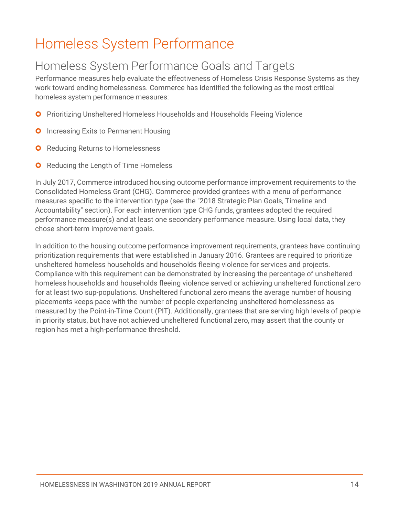# <span id="page-15-0"></span>Homeless System Performance

# Homeless System Performance Goals and Targets

Performance measures help evaluate the effectiveness of Homeless Crisis Response Systems as they work toward ending homelessness. Commerce has identified the following as the most critical homeless system performance measures:

- **O** Prioritizing Unsheltered Homeless Households and Households Fleeing Violence
- **O** Increasing Exits to Permanent Housing
- **O** Reducing Returns to Homelessness
- $\bullet$ Reducing the Length of Time Homeless

In July 2017, Commerce introduced housing outcome performance improvement requirements to the Consolidated Homeless Grant (CHG). Commerce provided grantees with a menu of performance measures specific to the intervention type (see the ["2018 Strategic Plan Goals, Timeline and](#page-23-0)  [Accountability"](#page-23-0) section). For each intervention type CHG funds, grantees adopted the required performance measure(s) and at least one secondary performance measure. Using local data, they chose short-term improvement goals.

In addition to the housing outcome performance improvement requirements, grantees have continuing prioritization requirements that were established in January 2016. Grantees are required to prioritize unsheltered homeless households and households fleeing violence for services and projects. Compliance with this requirement can be demonstrated by increasing the percentage of unsheltered homeless households and households fleeing violence served or achieving unsheltered functional zero for at least two sup-populations. Unsheltered functional zero means the average number of housing placements keeps pace with the number of people experiencing unsheltered homelessness as measured by the Point-in-Time Count (PIT). Additionally, grantees that are serving high levels of people in priority status, but have not achieved unsheltered functional zero, may assert that the county or region has met a high-performance threshold.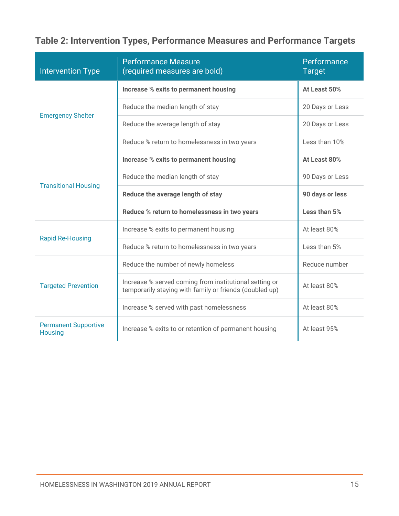### **Table 2: Intervention Types, Performance Measures and Performance Targets**

| <b>Intervention Type</b>                      | <b>Performance Measure</b><br>(required measures are bold)                                                        | Performance<br><b>Target</b> |
|-----------------------------------------------|-------------------------------------------------------------------------------------------------------------------|------------------------------|
|                                               | Increase % exits to permanent housing                                                                             | At Least 50%                 |
| <b>Emergency Shelter</b>                      | Reduce the median length of stay                                                                                  | 20 Days or Less              |
|                                               | Reduce the average length of stay                                                                                 | 20 Days or Less              |
|                                               | Reduce % return to homelessness in two years                                                                      | Less than 10%                |
|                                               | <b>Increase % exits to permanent housing</b>                                                                      | At Least 80%                 |
| <b>Transitional Housing</b>                   | Reduce the median length of stay                                                                                  | 90 Days or Less              |
|                                               | Reduce the average length of stay                                                                                 | 90 days or less              |
|                                               | Reduce % return to homelessness in two years                                                                      | Less than 5%                 |
|                                               | Increase % exits to permanent housing                                                                             | At least 80%                 |
| <b>Rapid Re-Housing</b>                       | Reduce % return to homelessness in two years                                                                      | Less than 5%                 |
|                                               | Reduce the number of newly homeless                                                                               | Reduce number                |
| <b>Targeted Prevention</b>                    | Increase % served coming from institutional setting or<br>temporarily staying with family or friends (doubled up) | At least 80%                 |
|                                               | Increase % served with past homelessness                                                                          | At least 80%                 |
| <b>Permanent Supportive</b><br><b>Housing</b> | Increase % exits to or retention of permanent housing                                                             | At least 95%                 |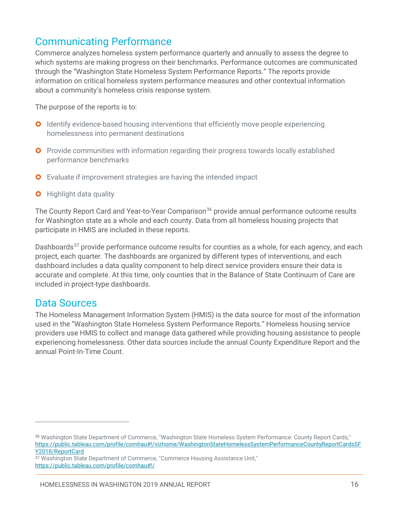### Communicating Performance

Commerce analyzes homeless system performance quarterly and annually to assess the degree to which systems are making progress on their benchmarks. Performance outcomes are communicated through the "Washington State Homeless System Performance Reports." The reports provide information on critical homeless system performance measures and other contextual information about a community's homeless crisis response system.

The purpose of the reports is to:

- **O** Identify evidence-based housing interventions that efficiently move people experiencing homelessness into permanent destinations
- **O** Provide communities with information regarding their progress towards locally established performance benchmarks
- **O** Evaluate if improvement strategies are having the intended impact
- **O** Highlight data quality

The County Report Card and Year-to-Year Comparison<sup>[36](#page-17-0)</sup> provide annual performance outcome results for Washington state as a whole and each county. Data from all homeless housing projects that participate in HMIS are included in these reports.

Dashboards<sup>[37](#page-17-1)</sup> provide performance outcome results for counties as a whole, for each agency, and each project, each quarter. The dashboards are organized by different types of interventions, and each dashboard includes a data quality component to help direct service providers ensure their data is accurate and complete. At this time, only counties that in the Balance of State Continuum of Care are included in project-type dashboards.

#### Data Sources

 $\overline{a}$ 

The Homeless Management Information System (HMIS) is the data source for most of the information used in the "Washington State Homeless System Performance Reports." Homeless housing service providers use HMIS to collect and manage data gathered while providing housing assistance to people experiencing homelessness. Other data sources include the annual County Expenditure Report and the annual Point-In-Time Count.

<span id="page-17-0"></span><sup>36</sup> Washington State Department of Commerce, "Washington State Homeless System Performance: County Report Cards," [https://public.tableau.com/profile/comhau#!/vizhome/WashingtonStateHomelessSystemPerformanceCountyReportCardsSF](https://public.tableau.com/profile/comhau%23!/vizhome/WashingtonStateHomelessSystemPerformanceCountyReportCardsSFY2018/ReportCard) [Y2018/ReportCard](https://public.tableau.com/profile/comhau%23!/vizhome/WashingtonStateHomelessSystemPerformanceCountyReportCardsSFY2018/ReportCard)

<span id="page-17-1"></span><sup>&</sup>lt;sup>37</sup> Washington State Department of Commerce, "Commerce Housing Assistance Unit," [https://public.tableau.com/profile/comhau#!/](https://public.tableau.com/profile/comhau%23!/)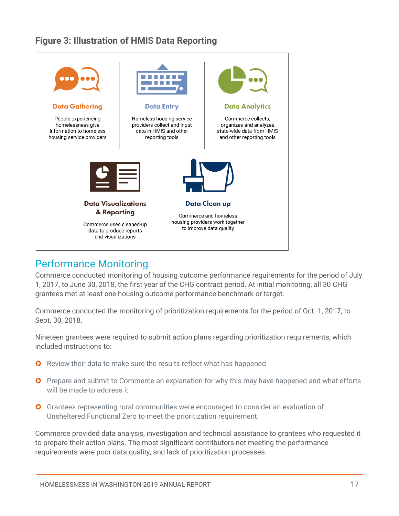### **Figure 3: Illustration of HMIS Data Reporting**



### Performance Monitoring

Commerce conducted monitoring of housing outcome performance requirements for the period of July 1, 2017, to June 30, 2018, the first year of the CHG contract period. At initial monitoring, all 30 CHG grantees met at least one housing outcome performance benchmark or target.

Commerce conducted the monitoring of prioritization requirements for the period of Oct. 1, 2017, to Sept. 30, 2018.

Nineteen grantees were required to submit action plans regarding prioritization requirements, which included instructions to:

- **O** Review their data to make sure the results reflect what has happened
- **O** Prepare and submit to Commerce an explanation for why this may have happened and what efforts will be made to address it
- Grantees representing rural communities were encouraged to consider an evaluation of Unsheltered Functional Zero to meet the prioritization requirement.

Commerce provided data analysis, investigation and technical assistance to grantees who requested it to prepare their action plans. The most significant contributors not meeting the performance requirements were poor data quality, and lack of prioritization processes.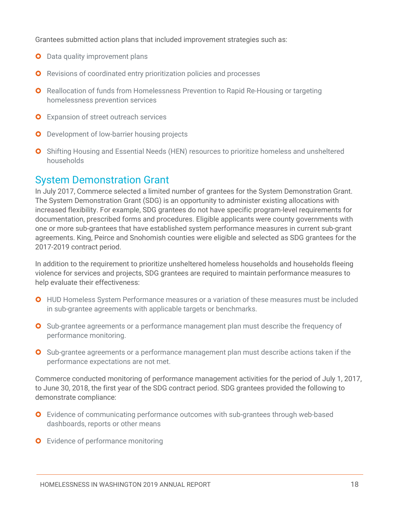Grantees submitted action plans that included improvement strategies such as:

- **O** Data quality improvement plans
- **O** Revisions of coordinated entry prioritization policies and processes
- **O** Reallocation of funds from Homelessness Prevention to Rapid Re-Housing or targeting homelessness prevention services
- **O** Expansion of street outreach services
- **O** Development of low-barrier housing projects
- **O** Shifting Housing and Essential Needs (HEN) resources to prioritize homeless and unsheltered households

### System Demonstration Grant

In July 2017, Commerce selected a limited number of grantees for the System Demonstration Grant. The System Demonstration Grant (SDG) is an opportunity to administer existing allocations with increased flexibility. For example, SDG grantees do not have specific program-level requirements for documentation, prescribed forms and procedures. Eligible applicants were county governments with one or more sub-grantees that have established system performance measures in current sub-grant agreements. King, Peirce and Snohomish counties were eligible and selected as SDG grantees for the 2017-2019 contract period.

In addition to the requirement to prioritize unsheltered homeless households and households fleeing violence for services and projects, SDG grantees are required to maintain performance measures to help evaluate their effectiveness:

- HUD Homeless System Performance measures or a variation of these measures must be included in sub-grantee agreements with applicable targets or benchmarks.
- **O** Sub-grantee agreements or a performance management plan must describe the frequency of performance monitoring.
- **O** Sub-grantee agreements or a performance management plan must describe actions taken if the performance expectations are not met.

Commerce conducted monitoring of performance management activities for the period of July 1, 2017, to June 30, 2018, the first year of the SDG contract period. SDG grantees provided the following to demonstrate compliance:

- **O** Evidence of communicating performance outcomes with sub-grantees through web-based dashboards, reports or other means
- **O** Evidence of performance monitoring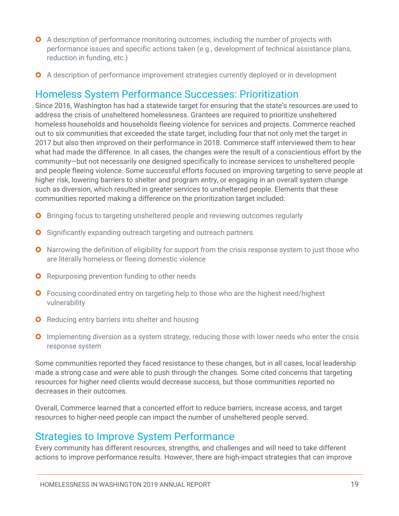- **O** A description of performance monitoring outcomes, including the number of projects with performance issues and specific actions taken (e.g., development of technical assistance plans, reduction in funding, etc.)
- A description of performance improvement strategies currently deployed or in development

### Homeless System Performance Successes: Prioritization

Since 2016, Washington has had a statewide target for ensuring that the state's resources are used to address the crisis of unsheltered homelessness. Grantees are required to prioritize unsheltered homeless households and households fleeing violence for services and projects. Commerce reached out to six communities that exceeded the state target, including four that not only met the target in 2017 but also then improved on their performance in 2018. Commerce staff interviewed them to hear what had made the difference. In all cases, the changes were the result of a conscientious effort by the community—but not necessarily one designed specifically to increase services to unsheltered people and people fleeing violence. Some successful efforts focused on improving targeting to serve people at higher risk, lowering barriers to shelter and program entry, or engaging in an overall system change such as diversion, which resulted in greater services to unsheltered people. Elements that these communities reported making a difference on the prioritization target included:

- **O** Bringing focus to targeting unsheltered people and reviewing outcomes regularly
- **O** Significantly expanding outreach targeting and outreach partners
- **O** Narrowing the definition of eligibility for support from the crisis response system to just those who are literally homeless or fleeing domestic violence
- **O** Repurposing prevention funding to other needs
- **O** Focusing coordinated entry on targeting help to those who are the highest need/highest vulnerability
- **O** Reducing entry barriers into shelter and housing
- **O** Implementing diversion as a system strategy, reducing those with lower needs who enter the crisis response system

Some communities reported they faced resistance to these changes, but in all cases, local leadership made a strong case and were able to push through the changes. Some cited concerns that targeting resources for higher need clients would decrease success, but those communities reported no decreases in their outcomes.

Overall, Commerce learned that a concerted effort to reduce barriers, increase access, and target resources to higher-need people can impact the number of unsheltered people served.

### Strategies to Improve System Performance

Every community has different resources, strengths, and challenges and will need to take different actions to improve performance results. However, there are high-impact strategies that can improve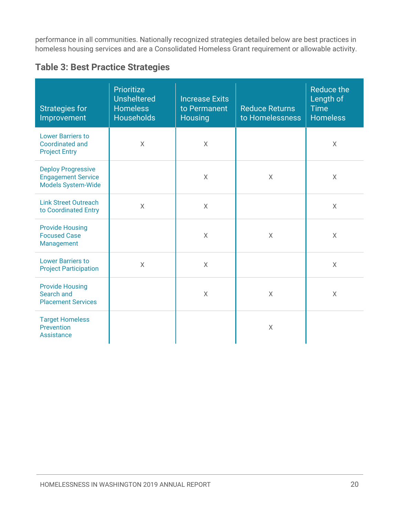performance in all communities. Nationally recognized strategies detailed below are best practices in homeless housing services and are a Consolidated Homeless Grant requirement or allowable activity.

#### **Table 3: Best Practice Strategies**

| <b>Strategies for</b><br>Improvement                                                | <b>Prioritize</b><br><b>Unsheltered</b><br><b>Homeless</b><br><b>Households</b> | <b>Increase Exits</b><br>to Permanent<br><b>Housing</b> | <b>Reduce Returns</b><br>to Homelessness | <b>Reduce the</b><br>Length of<br><b>Time</b><br><b>Homeless</b> |
|-------------------------------------------------------------------------------------|---------------------------------------------------------------------------------|---------------------------------------------------------|------------------------------------------|------------------------------------------------------------------|
| <b>Lower Barriers to</b><br><b>Coordinated and</b><br><b>Project Entry</b>          | $\sf X$                                                                         | $\sf X$                                                 |                                          | $\sf X$                                                          |
| <b>Deploy Progressive</b><br><b>Engagement Service</b><br><b>Models System-Wide</b> |                                                                                 | $\sf X$                                                 | $\times$                                 | X                                                                |
| <b>Link Street Outreach</b><br>to Coordinated Entry                                 | $\overline{X}$                                                                  | $\sf X$                                                 |                                          | $\times$                                                         |
| <b>Provide Housing</b><br><b>Focused Case</b><br>Management                         |                                                                                 | $\chi$                                                  | $\sf X$                                  | $\sf X$                                                          |
| <b>Lower Barriers to</b><br><b>Project Participation</b>                            | $\sf X$                                                                         | $\overline{X}$                                          |                                          | $\times$                                                         |
| <b>Provide Housing</b><br>Search and<br><b>Placement Services</b>                   |                                                                                 | $\sf X$                                                 | $\times$                                 | X                                                                |
| <b>Target Homeless</b><br>Prevention<br><b>Assistance</b>                           |                                                                                 |                                                         | $\sf X$                                  |                                                                  |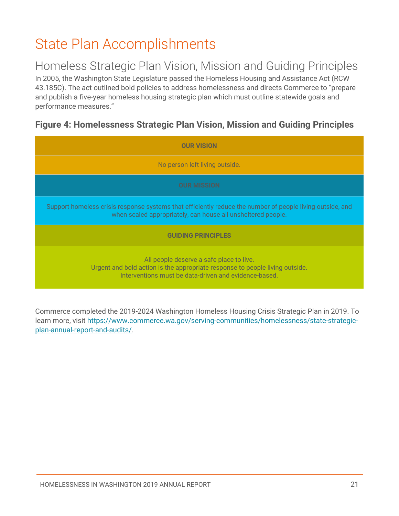# <span id="page-22-0"></span>State Plan Accomplishments

### Homeless Strategic Plan Vision, Mission and Guiding Principles

In 2005, the Washington State Legislature passed the Homeless Housing and Assistance Act (RCW 43.185C). The act outlined bold policies to address homelessness and directs Commerce to "prepare and publish a five-year homeless housing strategic plan which must outline statewide goals and performance measures."

### **Figure 4: Homelessness Strategic Plan Vision, Mission and Guiding Principles**

| <b>OUR VISION</b>                                                                                                                                                                 |
|-----------------------------------------------------------------------------------------------------------------------------------------------------------------------------------|
| No person left living outside.                                                                                                                                                    |
| <b>OUR MISSION</b>                                                                                                                                                                |
| Support homeless crisis response systems that efficiently reduce the number of people living outside, and<br>when scaled appropriately, can house all unsheltered people.         |
| <b>GUIDING PRINCIPLES</b>                                                                                                                                                         |
| All people deserve a safe place to live.<br>Urgent and bold action is the appropriate response to people living outside.<br>Interventions must be data-driven and evidence-based. |

Commerce completed the 2019-2024 Washington Homeless Housing Crisis Strategic Plan in 2019. To learn more, visit [https://www.commerce.wa.gov/serving-communities/homelessness/state-strategic](https://www.commerce.wa.gov/serving-communities/homelessness/state-strategic-plan-annual-report-and-audits/)[plan-annual-report-and-audits/.](https://www.commerce.wa.gov/serving-communities/homelessness/state-strategic-plan-annual-report-and-audits/)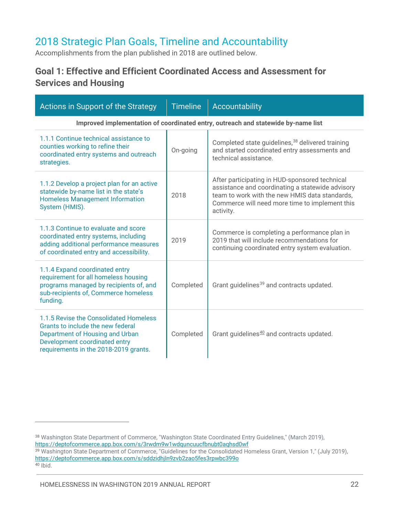### <span id="page-23-0"></span>2018 Strategic Plan Goals, Timeline and Accountability

Accomplishments from the plan published in 2018 are outlined below.

### **Goal 1: Effective and Efficient Coordinated Access and Assessment for Services and Housing**

| Actions in Support of the Strategy                                                                                                                                                       | <b>Timeline</b> | Accountability                                                                                                                                                                                                      |  |
|------------------------------------------------------------------------------------------------------------------------------------------------------------------------------------------|-----------------|---------------------------------------------------------------------------------------------------------------------------------------------------------------------------------------------------------------------|--|
| Improved implementation of coordinated entry, outreach and statewide by-name list                                                                                                        |                 |                                                                                                                                                                                                                     |  |
| 1.1.1 Continue technical assistance to<br>counties working to refine their<br>coordinated entry systems and outreach<br>strategies.                                                      | On-going        | Completed state guidelines, <sup>38</sup> delivered training<br>and started coordinated entry assessments and<br>technical assistance.                                                                              |  |
| 1.1.2 Develop a project plan for an active<br>statewide by-name list in the state's<br><b>Homeless Management Information</b><br>System (HMIS).                                          | 2018            | After participating in HUD-sponsored technical<br>assistance and coordinating a statewide advisory<br>team to work with the new HMIS data standards.<br>Commerce will need more time to implement this<br>activity. |  |
| 1.1.3 Continue to evaluate and score<br>coordinated entry systems, including<br>adding additional performance measures<br>of coordinated entry and accessibility.                        | 2019            | Commerce is completing a performance plan in<br>2019 that will include recommendations for<br>continuing coordinated entry system evaluation.                                                                       |  |
| 1.1.4 Expand coordinated entry<br>requirement for all homeless housing<br>programs managed by recipients of, and<br>sub-recipients of, Commerce homeless<br>funding.                     | Completed       | Grant guidelines <sup>39</sup> and contracts updated.                                                                                                                                                               |  |
| 1.1.5 Revise the Consolidated Homeless<br>Grants to include the new federal<br>Department of Housing and Urban<br>Development coordinated entry<br>requirements in the 2018-2019 grants. | Completed       | Grant guidelines <sup>40</sup> and contracts updated.                                                                                                                                                               |  |

<span id="page-23-2"></span><span id="page-23-1"></span><sup>38</sup> Washington State Department of Commerce, "Washington State Coordinated Entry Guidelines," (March 2019), <https://deptofcommerce.app.box.com/s/3rwdm9w1wdquncuucfbnubt0aqhsd0wf> <sup>39</sup> Washington State Department of Commerce, "Guidelines for the Consolidated Homeless Grant, Version 1," (July 2019), <https://deptofcommerce.app.box.com/s/sddzidhjln9zvb2zao5fes3rpwbc399o>  $40$  Ibid.

<span id="page-23-3"></span>HOMELESSNESS IN WASHINGTON 2019 ANNUAL REPORT 22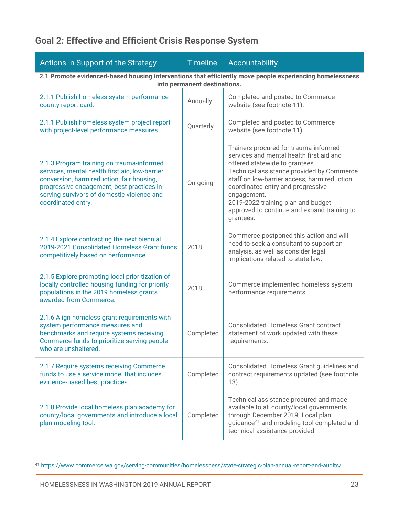### **Goal 2: Effective and Efficient Crisis Response System**

| Actions in Support of the Strategy                                                                                                                                                                                                                        | <b>Timeline</b> | Accountability                                                                                                                                                                                                                                                                                                                                                         |  |  |
|-----------------------------------------------------------------------------------------------------------------------------------------------------------------------------------------------------------------------------------------------------------|-----------------|------------------------------------------------------------------------------------------------------------------------------------------------------------------------------------------------------------------------------------------------------------------------------------------------------------------------------------------------------------------------|--|--|
| 2.1 Promote evidenced-based housing interventions that efficiently move people experiencing homelessness<br>into permanent destinations.                                                                                                                  |                 |                                                                                                                                                                                                                                                                                                                                                                        |  |  |
| 2.1.1 Publish homeless system performance<br>county report card.                                                                                                                                                                                          | Annually        | Completed and posted to Commerce<br>website (see footnote 11).                                                                                                                                                                                                                                                                                                         |  |  |
| 2.1.1 Publish homeless system project report<br>with project-level performance measures.                                                                                                                                                                  | Quarterly       | Completed and posted to Commerce<br>website (see footnote 11).                                                                                                                                                                                                                                                                                                         |  |  |
| 2.1.3 Program training on trauma-informed<br>services, mental health first aid, low-barrier<br>conversion, harm reduction, fair housing,<br>progressive engagement, best practices in<br>serving survivors of domestic violence and<br>coordinated entry. | On-going        | Trainers procured for trauma-informed<br>services and mental health first aid and<br>offered statewide to grantees.<br>Technical assistance provided by Commerce<br>staff on low-barrier access, harm reduction,<br>coordinated entry and progressive<br>engagement.<br>2019-2022 training plan and budget<br>approved to continue and expand training to<br>grantees. |  |  |
| 2.1.4 Explore contracting the next biennial<br>2019-2021 Consolidated Homeless Grant funds<br>competitively based on performance.                                                                                                                         | 2018            | Commerce postponed this action and will<br>need to seek a consultant to support an<br>analysis, as well as consider legal<br>implications related to state law.                                                                                                                                                                                                        |  |  |
| 2.1.5 Explore promoting local prioritization of<br>locally controlled housing funding for priority<br>populations in the 2019 homeless grants<br>awarded from Commerce.                                                                                   | 2018            | Commerce implemented homeless system<br>performance requirements.                                                                                                                                                                                                                                                                                                      |  |  |
| 2.1.6 Align homeless grant requirements with<br>system performance measures and<br>benchmarks and require systems receiving<br>Commerce funds to prioritize serving people<br>who are unsheltered.                                                        | Completed       | <b>Consolidated Homeless Grant contract</b><br>statement of work updated with these<br>requirements.                                                                                                                                                                                                                                                                   |  |  |
| 2.1.7 Require systems receiving Commerce<br>funds to use a service model that includes<br>evidence-based best practices.                                                                                                                                  | Completed       | Consolidated Homeless Grant guidelines and<br>contract requirements updated (see footnote<br>13).                                                                                                                                                                                                                                                                      |  |  |
| 2.1.8 Provide local homeless plan academy for<br>county/local governments and introduce a local<br>plan modeling tool.                                                                                                                                    | Completed       | Technical assistance procured and made<br>available to all county/local governments<br>through December 2019. Local plan<br>guidance <sup>41</sup> and modeling tool completed and<br>technical assistance provided.                                                                                                                                                   |  |  |

<span id="page-24-0"></span><sup>41</sup> <https://www.commerce.wa.gov/serving-communities/homelessness/state-strategic-plan-annual-report-and-audits/>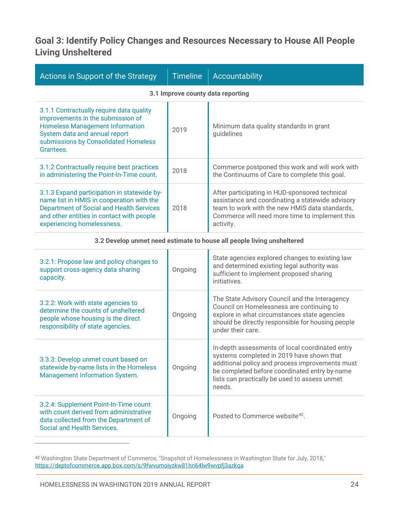### **Goal 3: Identify Policy Changes and Resources Necessary to House All People Living Unsheltered**

| Actions in Support of the Strategy                                                                                                                                                                                     | <b>Timeline</b> | Accountability                                                                                                                                                                                                      |  |
|------------------------------------------------------------------------------------------------------------------------------------------------------------------------------------------------------------------------|-----------------|---------------------------------------------------------------------------------------------------------------------------------------------------------------------------------------------------------------------|--|
| 3.1 Improve county data reporting                                                                                                                                                                                      |                 |                                                                                                                                                                                                                     |  |
| 3.1.1 Contractually require data quality<br>improvements in the submission of<br><b>Homeless Management Information</b><br>System data and annual report<br>submissions by Consolidated Homeless<br>Grantees.          | 2019            | Minimum data quality standards in grant<br>guidelines                                                                                                                                                               |  |
| 3.1.2 Contractually require best practices<br>in administering the Point-In-Time count.                                                                                                                                | 2018            | Commerce postponed this work and will work with<br>the Continuums of Care to complete this goal.                                                                                                                    |  |
| 3.1.3 Expand participation in statewide by-<br>name list in HMIS in cooperation with the<br><b>Department of Social and Health Services</b><br>and other entities in contact with people<br>experiencing homelessness. | 2018            | After participating in HUD-sponsored technical<br>assistance and coordinating a statewide advisory<br>team to work with the new HMIS data standards,<br>Commerce will need more time to implement this<br>activity. |  |
| 3.2 Develop unmet need estimate to house all people living unsheltered                                                                                                                                                 |                 |                                                                                                                                                                                                                     |  |
| 3.2.1: Propose law and policy changes to<br>support cross-agency data sharing<br>capacity.                                                                                                                             | Ongoing         | State agencies explored changes to existing law<br>and determined existing legal authority was<br>sufficient to implement proposed sharing                                                                          |  |

| support cross agency data sharing<br>capacity.                                                                                                          | unyung  | sufficient to implement proposed sharing<br>initiatives.                                                                                                                                                                                                    |
|---------------------------------------------------------------------------------------------------------------------------------------------------------|---------|-------------------------------------------------------------------------------------------------------------------------------------------------------------------------------------------------------------------------------------------------------------|
| 3.2.2: Work with state agencies to<br>determine the counts of unsheltered<br>people whose housing is the direct<br>responsibility of state agencies.    | Ongoing | The State Advisory Council and the Interagency<br>Council on Homelessness are continuing to<br>explore in what circumstances state agencies<br>should be directly responsible for housing people<br>under their care.                                       |
| 3.3.3: Develop unmet count based on<br>statewide by-name lists in the Homeless<br>Management Information System.                                        | Ongoing | In-depth assessments of local coordinated entry<br>systems completed in 2019 have shown that<br>additional policy and process improvements must<br>be completed before coordinated entry by-name<br>lists can practically be used to assess unmet<br>needs. |
| 3.2.4: Supplement Point-In-Time count<br>with count derived from administrative<br>data collected from the Department of<br>Social and Health Services. | Ongoing | Posted to Commerce website <sup>42</sup> .                                                                                                                                                                                                                  |

<span id="page-25-0"></span> $^{42}$  Washington State Department of Commerce, "Snapshot of Homelessness in Washington State for July, 2018," <https://deptofcommerce.app.box.com/s/9fwvumoiyzkw81hn64lw9wvpfj3azkqa>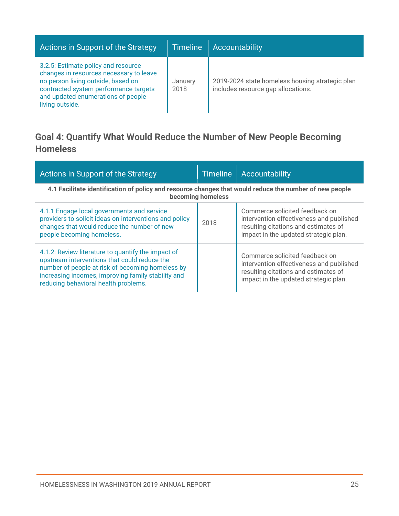| Actions in Support of the Strategy                                                                                                                                                                                     | <b>Timeline</b> | <b>Accountability</b>                                                                 |
|------------------------------------------------------------------------------------------------------------------------------------------------------------------------------------------------------------------------|-----------------|---------------------------------------------------------------------------------------|
| 3.2.5: Estimate policy and resource<br>changes in resources necessary to leave<br>no person living outside, based on<br>contracted system performance targets<br>and updated enumerations of people<br>living outside. | January<br>2018 | 2019-2024 state homeless housing strategic plan<br>includes resource gap allocations. |

### **Goal 4: Quantify What Would Reduce the Number of New People Becoming Homeless**

| Actions in Support of the Strategy                                                                                                                                                                                                                   | <b>Timeline</b> | Accountability                                                                                                                                              |  |  |
|------------------------------------------------------------------------------------------------------------------------------------------------------------------------------------------------------------------------------------------------------|-----------------|-------------------------------------------------------------------------------------------------------------------------------------------------------------|--|--|
| 4.1 Facilitate identification of policy and resource changes that would reduce the number of new people<br>becoming homeless                                                                                                                         |                 |                                                                                                                                                             |  |  |
| 4.1.1 Engage local governments and service<br>providers to solicit ideas on interventions and policy<br>changes that would reduce the number of new<br>people becoming homeless.                                                                     | 2018            | Commerce solicited feedback on<br>intervention effectiveness and published<br>resulting citations and estimates of<br>impact in the updated strategic plan. |  |  |
| 4.1.2: Review literature to quantify the impact of<br>upstream interventions that could reduce the<br>number of people at risk of becoming homeless by<br>increasing incomes, improving family stability and<br>reducing behavioral health problems. |                 | Commerce solicited feedback on<br>intervention effectiveness and published<br>resulting citations and estimates of<br>impact in the updated strategic plan. |  |  |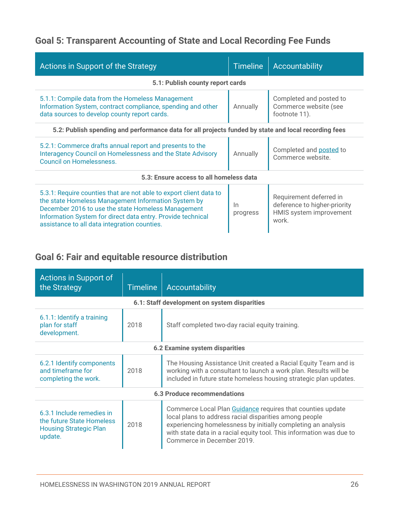### **Goal 5: Transparent Accounting of State and Local Recording Fee Funds**

| <b>Actions in Support of the Strategy</b>                                                                                                                                                                                                                                                      | <b>Timeline</b>   | Accountability                                                                              |  |  |  |
|------------------------------------------------------------------------------------------------------------------------------------------------------------------------------------------------------------------------------------------------------------------------------------------------|-------------------|---------------------------------------------------------------------------------------------|--|--|--|
| 5.1: Publish county report cards                                                                                                                                                                                                                                                               |                   |                                                                                             |  |  |  |
| 5.1.1: Compile data from the Homeless Management<br>Information System, contract compliance, spending and other<br>data sources to develop county report cards.                                                                                                                                | Annually          | Completed and posted to<br>Commerce website (see<br>footnote 11).                           |  |  |  |
| 5.2: Publish spending and performance data for all projects funded by state and local recording fees                                                                                                                                                                                           |                   |                                                                                             |  |  |  |
| 5.2.1: Commerce drafts annual report and presents to the<br>Interagency Council on Homelessness and the State Advisory<br><b>Council on Homelessness.</b>                                                                                                                                      | Annually          | Completed and posted to<br>Commerce website.                                                |  |  |  |
| 5.3: Ensure access to all homeless data                                                                                                                                                                                                                                                        |                   |                                                                                             |  |  |  |
| 5.3.1: Require counties that are not able to export client data to<br>the state Homeless Management Information System by<br>December 2016 to use the state Homeless Management<br>Information System for direct data entry. Provide technical<br>assistance to all data integration counties. | $\ln$<br>progress | Requirement deferred in<br>deference to higher-priority<br>HMIS system improvement<br>work. |  |  |  |

### **Goal 6: Fair and equitable resource distribution**

| Actions in Support of<br>the Strategy                                                              | <b>Timeline</b> | Accountability                                                                                                                                                                                                                                                                              |  |  |
|----------------------------------------------------------------------------------------------------|-----------------|---------------------------------------------------------------------------------------------------------------------------------------------------------------------------------------------------------------------------------------------------------------------------------------------|--|--|
|                                                                                                    |                 | 6.1: Staff development on system disparities                                                                                                                                                                                                                                                |  |  |
| 6.1.1: Identify a training<br>plan for staff<br>development.                                       | 2018            | Staff completed two-day racial equity training.                                                                                                                                                                                                                                             |  |  |
|                                                                                                    |                 | 6.2 Examine system disparities                                                                                                                                                                                                                                                              |  |  |
| 6.2.1 Identify components<br>and timeframe for<br>completing the work.                             | 2018            | The Housing Assistance Unit created a Racial Equity Team and is<br>working with a consultant to launch a work plan. Results will be<br>included in future state homeless housing strategic plan updates.                                                                                    |  |  |
| <b>6.3 Produce recommendations</b>                                                                 |                 |                                                                                                                                                                                                                                                                                             |  |  |
| 6.3.1 Include remedies in<br>the future State Homeless<br><b>Housing Strategic Plan</b><br>update. | 2018            | Commerce Local Plan Guidance requires that counties update<br>local plans to address racial disparities among people<br>experiencing homelessness by initially completing an analysis<br>with state data in a racial equity tool. This information was due to<br>Commerce in December 2019. |  |  |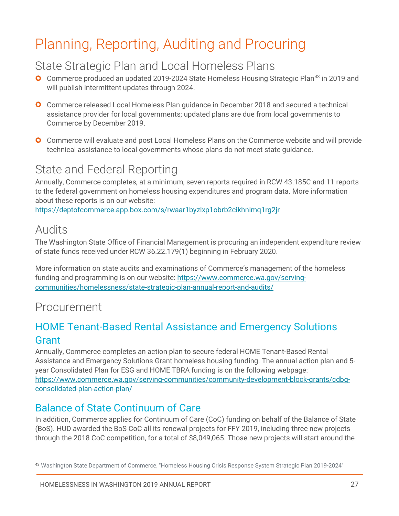# <span id="page-28-0"></span>Planning, Reporting, Auditing and Procuring

### State Strategic Plan and Local Homeless Plans

- **O** Commerce produced an updated 2019-2024 State Homeless Housing Strategic Plan<sup>[43](#page-28-1)</sup> in 2019 and will publish intermittent updates through 2024.
- **O** Commerce released Local Homeless Plan guidance in December 2018 and secured a technical assistance provider for local governments; updated plans are due from local governments to Commerce by December 2019.
- **O** Commerce will evaluate and post Local Homeless Plans on the Commerce website and will provide technical assistance to local governments whose plans do not meet state guidance.

# State and Federal Reporting

Annually, Commerce completes, at a minimum, seven reports required in RCW 43.185C and 11 reports to the federal government on homeless housing expenditures and program data. More information about these reports is on our website:

<https://deptofcommerce.app.box.com/s/rwaar1byzlxp1obrb2cikhnlmq1rg2jr>

### Audits

 $\overline{a}$ 

The Washington State Office of Financial Management is procuring an independent expenditure review of state funds received under RCW 36.22.179(1) beginning in February 2020.

More information on state audits and examinations of Commerce's management of the homeless funding and programming is on our website: https://www.commerce.wa.gov/servingcommunities/homelessness/state-strategic-plan-annual-report-and-audits/

### Procurement

### HOME Tenant-Based Rental Assistance and Emergency Solutions Grant

Annually, Commerce completes an action plan to secure federal HOME Tenant-Based Rental Assistance and Emergency Solutions Grant homeless housing funding. The annual action plan and 5 year Consolidated Plan for ESG and HOME TBRA funding is on the following webpage: [https://www.commerce.wa.gov/serving-communities/community-development-block-grants/cdbg](https://www.commerce.wa.gov/serving-communities/community-development-block-grants/cdbg-consolidated-plan-action-plan/)[consolidated-plan-action-plan/](https://www.commerce.wa.gov/serving-communities/community-development-block-grants/cdbg-consolidated-plan-action-plan/)

### Balance of State Continuum of Care

In addition, Commerce applies for Continuum of Care (CoC) funding on behalf of the Balance of State (BoS). HUD awarded the BoS CoC all its renewal projects for FFY 2019, including three new projects through the 2018 CoC competition, for a total of \$8,049,065. Those new projects will start around the

<span id="page-28-1"></span><sup>43</sup> Washington State Department of Commerce, "Homeless Housing Crisis Response System Strategic Plan 2019-2024"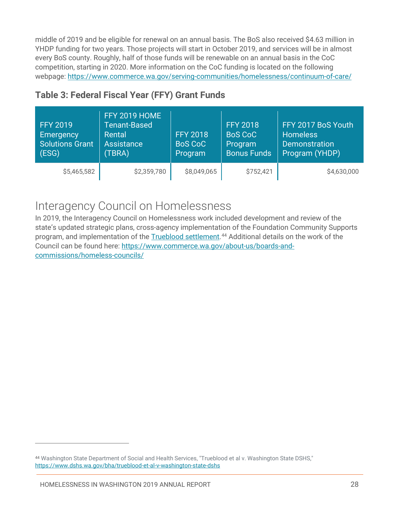middle of 2019 and be eligible for renewal on an annual basis. The BoS also received \$4.63 million in YHDP funding for two years. Those projects will start in October 2019, and services will be in almost every BoS county. Roughly, half of those funds will be renewable on an annual basis in the CoC competition, starting in 2020. More information on the CoC funding is located on the following webpage: <https://www.commerce.wa.gov/serving-communities/homelessness/continuum-of-care/>

| <b>FFY 2019</b><br>Emergency<br><b>Solutions Grant</b><br>(ESG) | <b>FFY 2019 HOME</b><br>Tenant-Based<br>Rental<br>Assistance<br>(TBRA) | <b>FFY 2018</b><br><b>BoS CoC</b><br>Program | <b>FFY 2018</b><br><b>BoS CoC</b><br>Program<br><b>Bonus Funds</b> | FFY 2017 BoS Youth<br><b>Homeless</b><br><b>Demonstration</b><br>Program (YHDP) |
|-----------------------------------------------------------------|------------------------------------------------------------------------|----------------------------------------------|--------------------------------------------------------------------|---------------------------------------------------------------------------------|
| \$5,465,582                                                     | \$2,359,780                                                            | \$8,049,065                                  | \$752,421                                                          | \$4,630,000                                                                     |

### **Table 3: Federal Fiscal Year (FFY) Grant Funds**

### Interagency Council on Homelessness

In 2019, the Interagency Council on Homelessness work included development and review of the state's updated strategic plans, cross-agency implementation of the Foundation Community Supports program, and implementation of the [Trueblood settlement.](https://www.dshs.wa.gov/bha/trueblood-et-al-v-washington-state-dshs)<sup>[44](#page-29-0)</sup> Additional details on the work of the Council can be found here: [https://www.commerce.wa.gov/about-us/boards-and](https://www.commerce.wa.gov/about-us/boards-and-commissions/homeless-councils/)[commissions/homeless-councils/](https://www.commerce.wa.gov/about-us/boards-and-commissions/homeless-councils/)

<span id="page-29-0"></span><sup>44</sup> Washington State Department of Social and Health Services, "Trueblood et al v. Washington State DSHS," <https://www.dshs.wa.gov/bha/trueblood-et-al-v-washington-state-dshs>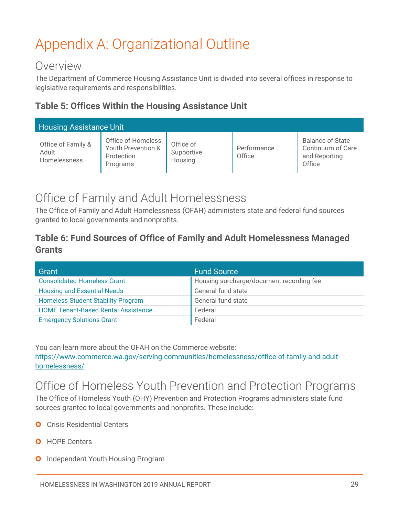# <span id="page-30-0"></span>Appendix A: Organizational Outline

### Overview

The Department of Commerce Housing Assistance Unit is divided into several offices in response to legislative requirements and responsibilities.

#### **Table 5: Offices Within the Housing Assistance Unit**

| <b>Housing Assistance Unit</b>                     |                                                                    |                                    |                       |                                                                         |
|----------------------------------------------------|--------------------------------------------------------------------|------------------------------------|-----------------------|-------------------------------------------------------------------------|
| Office of Family &<br>Adult<br><b>Homelessness</b> | Office of Homeless<br>Youth Prevention &<br>Protection<br>Programs | Office of<br>Supportive<br>Housing | Performance<br>Office | <b>Balance of State</b><br>Continuum of Care<br>and Reporting<br>Office |

### Office of Family and Adult Homelessness

The Office of Family and Adult Homelessness (OFAH) administers state and federal fund sources granted to local governments and nonprofits.

### **Table 6: Fund Sources of Office of Family and Adult Homelessness Managed Grants**

| Grant                                      | <b>Fund Source</b>                       |
|--------------------------------------------|------------------------------------------|
| <b>Consolidated Homeless Grant</b>         | Housing surcharge/document recording fee |
| <b>Housing and Essential Needs</b>         | General fund state                       |
| <b>Homeless Student Stability Program</b>  | General fund state                       |
| <b>HOME Tenant-Based Rental Assistance</b> | Federal                                  |
| <b>Emergency Solutions Grant</b>           | Federal                                  |

You can learn more about the OFAH on the Commerce website: [https://www.commerce.wa.gov/serving-communities/homelessness/office-of-family-and-adult](https://www.commerce.wa.gov/serving-communities/homelessness/office-of-family-and-adult-homelessness/)[homelessness/](https://www.commerce.wa.gov/serving-communities/homelessness/office-of-family-and-adult-homelessness/)

### Office of Homeless Youth Prevention and Protection Programs

The Office of Homeless Youth (OHY) Prevention and Protection Programs administers state fund sources granted to local governments and nonprofits. These include:

- **O** Crisis Residential Centers
- **O** HOPE Centers
- **O** Independent Youth Housing Program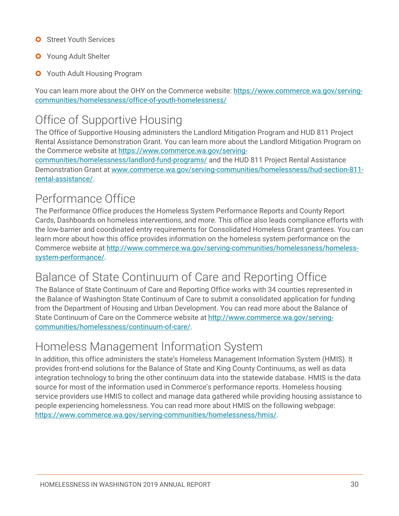- **O** Street Youth Services
- **O** Young Adult Shelter
- **O** Youth Adult Housing Program

You can learn more about the OHY on the Commerce website: [https://www.commerce.wa.gov/serving](https://www.commerce.wa.gov/serving-communities/homelessness/office-of-youth-homelessness/)[communities/homelessness/office-of-youth-homelessness/](https://www.commerce.wa.gov/serving-communities/homelessness/office-of-youth-homelessness/)

### Office of Supportive Housing

The Office of Supportive Housing administers the Landlord Mitigation Program and HUD 811 Project Rental Assistance Demonstration Grant. You can learn more about the Landlord Mitigation Program on the Commerce website at [https://www.commerce.wa.gov/serving-](https://www.commerce.wa.gov/serving-communities/homelessness/landlord-fund-programs/)

[communities/homelessness/landlord-fund-programs/](https://www.commerce.wa.gov/serving-communities/homelessness/landlord-fund-programs/) and the HUD 811 Project Rental Assistance Demonstration Grant at [www.commerce.wa.gov/serving-communities/homelessness/hud-section-811](http://www.commerce.wa.gov/serving-communities/homelessness/hud-section-811-rental-assistance/) [rental-assistance/.](http://www.commerce.wa.gov/serving-communities/homelessness/hud-section-811-rental-assistance/)

# Performance Office

The Performance Office produces the Homeless System Performance Reports and County Report Cards, Dashboards on homeless interventions, and more. This office also leads compliance efforts with the low-barrier and coordinated entry requirements for Consolidated Homeless Grant grantees. You can learn more about how this office provides information on the homeless system performance on the Commerce website at [http://www.commerce.wa.gov/serving-communities/homelessness/homeless](http://www.commerce.wa.gov/serving-communities/homelessness/homeless-system-performance/)[system-performance/.](http://www.commerce.wa.gov/serving-communities/homelessness/homeless-system-performance/)

### Balance of State Continuum of Care and Reporting Office

The Balance of State Continuum of Care and Reporting Office works with 34 counties represented in the Balance of Washington State Continuum of Care to submit a consolidated application for funding from the Department of Housing and Urban Development. You can read more about the Balance of State Continuum of Care on the Commerce website at [http://www.commerce.wa.gov/serving](http://www.commerce.wa.gov/serving-communities/homelessness/continuum-of-care/)[communities/homelessness/continuum-of-care/.](http://www.commerce.wa.gov/serving-communities/homelessness/continuum-of-care/)

### Homeless Management Information System

In addition, this office administers the state's Homeless Management Information System (HMIS). It provides front-end solutions for the Balance of State and King County Continuums, as well as data integration technology to bring the other continuum data into the statewide database. HMIS is the data source for most of the information used in Commerce's performance reports. Homeless housing service providers use HMIS to collect and manage data gathered while providing housing assistance to people experiencing homelessness. You can read more about HMIS on the following webpage: [https://www.commerce.wa.gov/serving-communities/homelessness/hmis/.](https://www.commerce.wa.gov/serving-communities/homelessness/hmis/)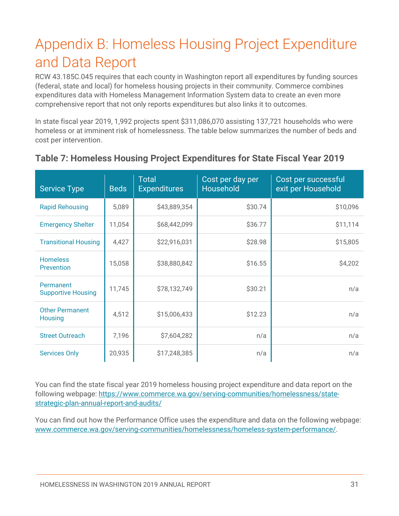# <span id="page-32-0"></span>Appendix B: Homeless Housing Project Expenditure and Data Report

RCW 43.185C.045 requires that each county in Washington report all expenditures by funding sources (federal, state and local) for homeless housing projects in their community. Commerce combines expenditures data with Homeless Management Information System data to create an even more comprehensive report that not only reports expenditures but also links it to outcomes.

In state fiscal year 2019, 1,992 projects spent \$311,086,070 assisting 137,721 households who were homeless or at imminent risk of homelessness. The table below summarizes the number of beds and cost per intervention.

| <b>Service Type</b>                      | <b>Beds</b> | <b>Total</b><br><b>Expenditures</b> | Cost per day per<br>Household | Cost per successful<br>exit per Household |
|------------------------------------------|-------------|-------------------------------------|-------------------------------|-------------------------------------------|
| <b>Rapid Rehousing</b>                   | 5,089       | \$43,889,354                        | \$30.74                       | \$10,096                                  |
| <b>Emergency Shelter</b>                 | 11,054      | \$68,442,099                        | \$36.77                       | \$11,114                                  |
| <b>Transitional Housing</b>              | 4,427       | \$22,916,031                        | \$28.98                       | \$15,805                                  |
| <b>Homeless</b><br>Prevention            | 15,058      | \$38,880,842                        | \$16.55                       | \$4,202                                   |
| Permanent<br><b>Supportive Housing</b>   | 11,745      | \$78,132,749                        | \$30.21                       | n/a                                       |
| <b>Other Permanent</b><br><b>Housing</b> | 4,512       | \$15,006,433                        | \$12.23                       | n/a                                       |
| <b>Street Outreach</b>                   | 7,196       | \$7,604,282                         | n/a                           | n/a                                       |
| <b>Services Only</b>                     | 20,935      | \$17,248,385                        | n/a                           | n/a                                       |

### **Table 7: Homeless Housing Project Expenditures for State Fiscal Year 2019**

You can find the state fiscal year 2019 homeless housing project expenditure and data report on the following webpage: [https://www.commerce.wa.gov/serving-communities/homelessness/state](https://www.commerce.wa.gov/serving-communities/homelessness/state-strategic-plan-annual-report-and-audits/)[strategic-plan-annual-report-and-audits/](https://www.commerce.wa.gov/serving-communities/homelessness/state-strategic-plan-annual-report-and-audits/)

You can find out how the Performance Office uses the expenditure and data on the following webpage: [www.commerce.wa.gov/serving-communities/homelessness/homeless-system-performance/.](http://www.commerce.wa.gov/serving-communities/homelessness/homeless-system-performance/)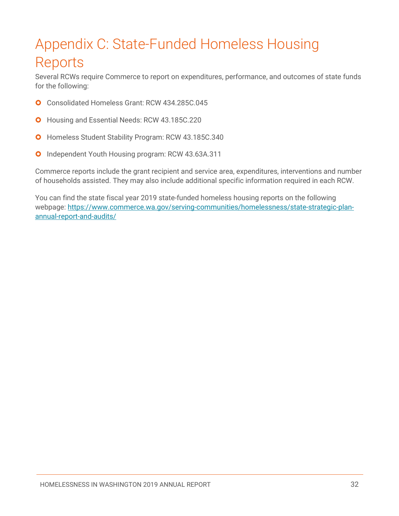# <span id="page-33-0"></span>Appendix C: State-Funded Homeless Housing Reports

Several RCWs require Commerce to report on expenditures, performance, and outcomes of state funds for the following:

- Consolidated Homeless Grant: RCW 434.285C.045
- **O** Housing and Essential Needs: RCW [43.185C.220](http://app.leg.wa.gov/RCW/default.aspx?cite=43.185C.220)
- **O** Homeless Student Stability Program: RCW 43.185C.340
- Independent Youth Housing program: RCW [43.63A.311](http://app.leg.wa.gov/RCW/default.aspx?cite=43.63A.311)  $\bullet$

Commerce reports include the grant recipient and service area, expenditures, interventions and number of households assisted. They may also include additional specific information required in each RCW.

You can find the state fiscal year 2019 state-funded homeless housing reports on the following webpage: [https://www.commerce.wa.gov/serving-communities/homelessness/state-strategic-plan](https://www.commerce.wa.gov/serving-communities/homelessness/state-strategic-plan-annual-report-and-audits/)[annual-report-and-audits/](https://www.commerce.wa.gov/serving-communities/homelessness/state-strategic-plan-annual-report-and-audits/)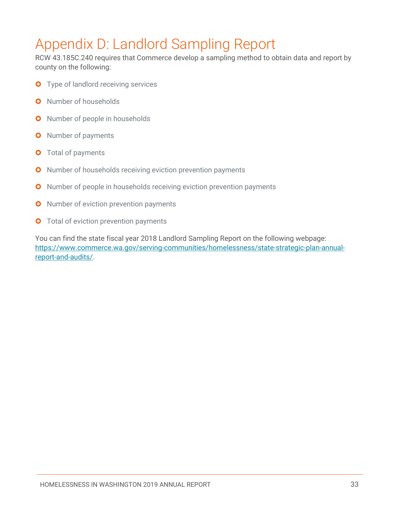# <span id="page-34-0"></span>Appendix D: Landlord Sampling Report

RCW 43.185C.240 requires that Commerce develop a sampling method to obtain data and report by county on the following:

- **O** Type of landlord receiving services
- **O** Number of households
- **O** Number of people in households
- **O** Number of payments
- **O** Total of payments
- **O** Number of households receiving eviction prevention payments
- **O** Number of people in households receiving eviction prevention payments
- **O** Number of eviction prevention payments
- **O** Total of eviction prevention payments

You can find the state fiscal year 2018 Landlord Sampling Report on the following webpage: [https://www.commerce.wa.gov/serving-communities/homelessness/state-strategic-plan-annual](https://www.commerce.wa.gov/serving-communities/homelessness/state-strategic-plan-annual-report-and-audits/)[report-and-audits/.](https://www.commerce.wa.gov/serving-communities/homelessness/state-strategic-plan-annual-report-and-audits/)